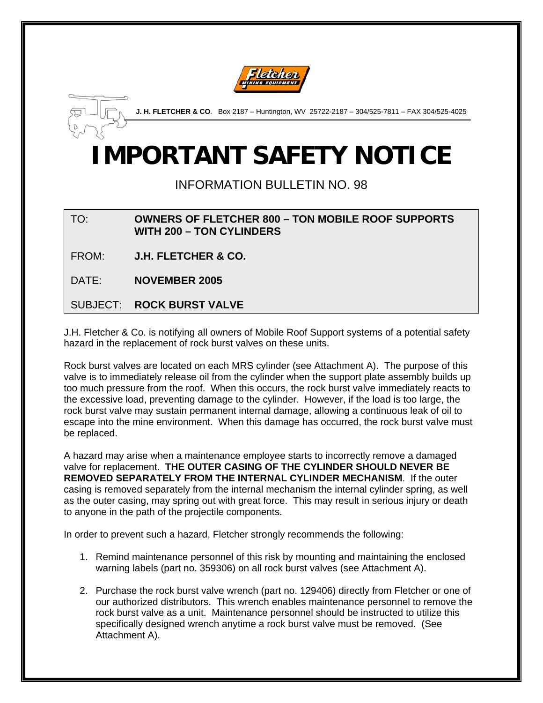



**J. H. FLETCHER & CO**. Box 2187 – Huntington, WV 25722-2187 – 304/525-7811 – FAX 304/525-4025

## **IMPORTANT SAFETY NOTICE**

INFORMATION BULLETIN NO. 98

TO: **OWNERS OF FLETCHER 800 – TON MOBILE ROOF SUPPORTS WITH 200 – TON CYLINDERS** 

FROM: **J.H. FLETCHER & CO.**

DATE: **NOVEMBER 2005**

SUBJECT: **ROCK BURST VALVE**

J.H. Fletcher & Co. is notifying all owners of Mobile Roof Support systems of a potential safety hazard in the replacement of rock burst valves on these units.

Rock burst valves are located on each MRS cylinder (see Attachment A). The purpose of this valve is to immediately release oil from the cylinder when the support plate assembly builds up too much pressure from the roof. When this occurs, the rock burst valve immediately reacts to the excessive load, preventing damage to the cylinder. However, if the load is too large, the rock burst valve may sustain permanent internal damage, allowing a continuous leak of oil to escape into the mine environment. When this damage has occurred, the rock burst valve must be replaced.

A hazard may arise when a maintenance employee starts to incorrectly remove a damaged valve for replacement. **THE OUTER CASING OF THE CYLINDER SHOULD NEVER BE REMOVED SEPARATELY FROM THE INTERNAL CYLINDER MECHANISM**. If the outer casing is removed separately from the internal mechanism the internal cylinder spring, as well as the outer casing, may spring out with great force. This may result in serious injury or death to anyone in the path of the projectile components.

In order to prevent such a hazard, Fletcher strongly recommends the following:

- 1. Remind maintenance personnel of this risk by mounting and maintaining the enclosed warning labels (part no. 359306) on all rock burst valves (see Attachment A).
- 2. Purchase the rock burst valve wrench (part no. 129406) directly from Fletcher or one of our authorized distributors. This wrench enables maintenance personnel to remove the rock burst valve as a unit. Maintenance personnel should be instructed to utilize this specifically designed wrench anytime a rock burst valve must be removed. (See Attachment A).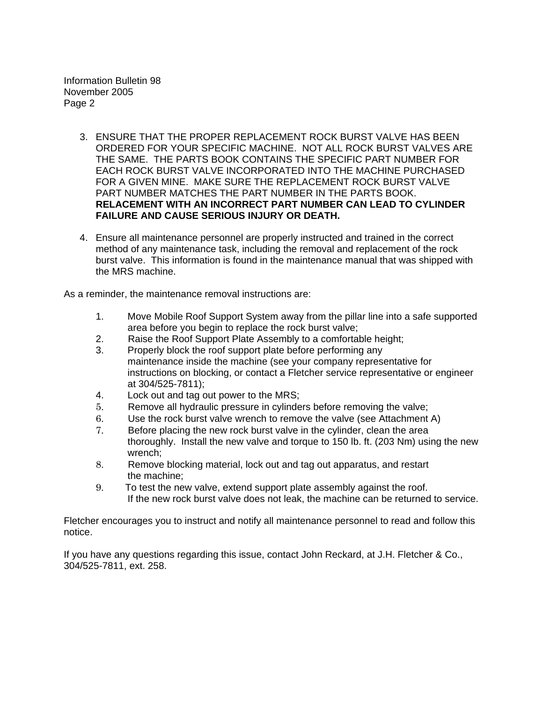Information Bulletin 98 November 2005 Page 2

- 3. ENSURE THAT THE PROPER REPLACEMENT ROCK BURST VALVE HAS BEEN ORDERED FOR YOUR SPECIFIC MACHINE. NOT ALL ROCK BURST VALVES ARE THE SAME. THE PARTS BOOK CONTAINS THE SPECIFIC PART NUMBER FOR EACH ROCK BURST VALVE INCORPORATED INTO THE MACHINE PURCHASED FOR A GIVEN MINE. MAKE SURE THE REPLACEMENT ROCK BURST VALVE PART NUMBER MATCHES THE PART NUMBER IN THE PARTS BOOK. **RELACEMENT WITH AN INCORRECT PART NUMBER CAN LEAD TO CYLINDER FAILURE AND CAUSE SERIOUS INJURY OR DEATH.**
- 4. Ensure all maintenance personnel are properly instructed and trained in the correct method of any maintenance task, including the removal and replacement of the rock burst valve. This information is found in the maintenance manual that was shipped with the MRS machine.

As a reminder, the maintenance removal instructions are:

- 1. Move Mobile Roof Support System away from the pillar line into a safe supported area before you begin to replace the rock burst valve;
- 2. Raise the Roof Support Plate Assembly to a comfortable height;
- 3. Properly block the roof support plate before performing any maintenance inside the machine (see your company representative for instructions on blocking, or contact a Fletcher service representative or engineer at 304/525-7811);
- 4. Lock out and tag out power to the MRS;
- 5. Remove all hydraulic pressure in cylinders before removing the valve;
- 6. Use the rock burst valve wrench to remove the valve (see Attachment A)
- 7. Before placing the new rock burst valve in the cylinder, clean the area thoroughly. Install the new valve and torque to 150 lb. ft. (203 Nm) using the new wrench;
- 8. Remove blocking material, lock out and tag out apparatus, and restart the machine;
- 9. To test the new valve, extend support plate assembly against the roof. If the new rock burst valve does not leak, the machine can be returned to service.

Fletcher encourages you to instruct and notify all maintenance personnel to read and follow this notice.

If you have any questions regarding this issue, contact John Reckard, at J.H. Fletcher & Co., 304/525-7811, ext. 258.